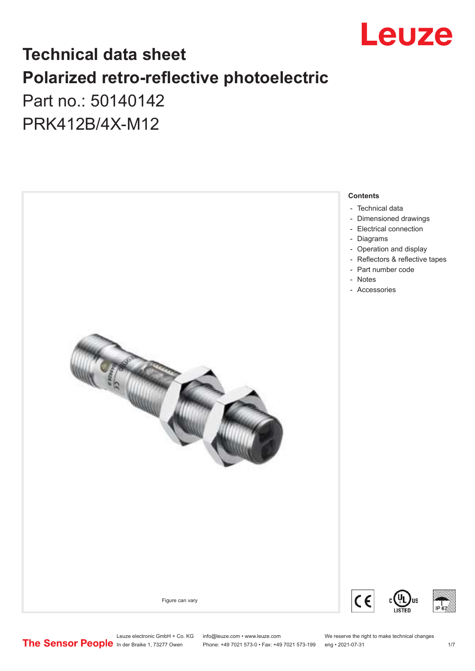

## **Technical data sheet Polarized retro-reflective photoelectric**  Part no.: 50140142

PRK412B/4X-M12



Leuze electronic GmbH + Co. KG info@leuze.com • www.leuze.com We reserve the right to make technical changes<br>
The Sensor People in der Braike 1, 73277 Owen Phone: +49 7021 573-0 • Fax: +49 7021 573-199 eng • 2021-07-31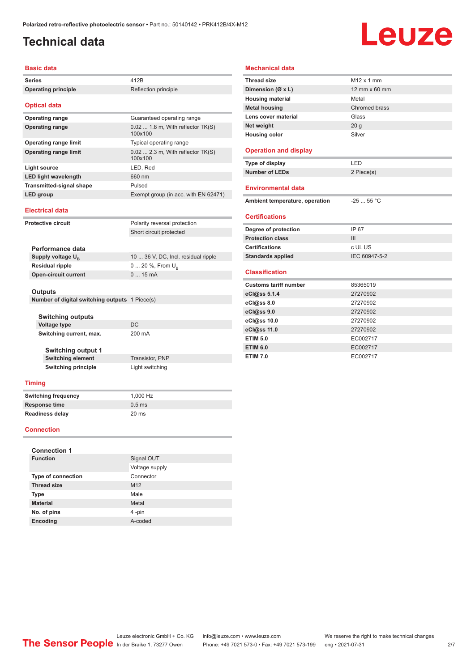### <span id="page-1-0"></span>**Technical data**

# Leuze

#### **Basic data**

| <b>Series</b>                                  | 412B                                          |  |
|------------------------------------------------|-----------------------------------------------|--|
| <b>Operating principle</b>                     | Reflection principle                          |  |
| <b>Optical data</b>                            |                                               |  |
| <b>Operating range</b>                         | Guaranteed operating range                    |  |
| <b>Operating range</b>                         | $0.02$ 1.8 m, With reflector TK(S)<br>100x100 |  |
| <b>Operating range limit</b>                   | Typical operating range                       |  |
| <b>Operating range limit</b>                   | $0.02$ 2.3 m, With reflector TK(S)<br>100x100 |  |
| Light source                                   | LED, Red                                      |  |
| <b>LED light wavelength</b>                    | 660 nm                                        |  |
| <b>Transmitted-signal shape</b>                | Pulsed                                        |  |
| LED group                                      | Exempt group (in acc. with EN 62471)          |  |
| <b>Electrical data</b>                         |                                               |  |
| <b>Protective circuit</b>                      | Polarity reversal protection                  |  |
|                                                | Short circuit protected                       |  |
|                                                |                                               |  |
| Performance data                               |                                               |  |
| Supply voltage $U_{B}$                         | 10  36 V, DC, Incl. residual ripple           |  |
| <b>Residual ripple</b>                         | $0 20 \%$ , From $U_{p}$                      |  |
| <b>Open-circuit current</b>                    | 015mA                                         |  |
| Outputs                                        |                                               |  |
| Number of digital switching outputs 1 Piece(s) |                                               |  |
|                                                |                                               |  |
| Switching outputs                              |                                               |  |
| <b>Voltage type</b>                            | DC                                            |  |
| Switching current, max.                        | 200 mA                                        |  |
|                                                |                                               |  |
| <b>Switching output 1</b>                      |                                               |  |
| <b>Switching element</b>                       | <b>Transistor, PNP</b>                        |  |
| <b>Switching principle</b>                     | Light switching                               |  |
| <b>Timing</b>                                  |                                               |  |
| <b>Switching frequency</b>                     | 1,000 Hz                                      |  |
| Response time                                  | 0.5 <sub>ms</sub>                             |  |
| <b>Readiness delay</b>                         | 20 <sub>ms</sub>                              |  |

#### **Connection**

| <b>Connection 1</b>       |                 |  |  |  |  |
|---------------------------|-----------------|--|--|--|--|
| <b>Function</b>           | Signal OUT      |  |  |  |  |
|                           | Voltage supply  |  |  |  |  |
| <b>Type of connection</b> | Connector       |  |  |  |  |
| <b>Thread size</b>        | M <sub>12</sub> |  |  |  |  |
| <b>Type</b>               | Male            |  |  |  |  |
| <b>Material</b>           | Metal           |  |  |  |  |
| No. of pins               | 4-pin           |  |  |  |  |
| Encoding                  | A-coded         |  |  |  |  |

| <b>Mechanical data</b>         |                      |
|--------------------------------|----------------------|
| <b>Thread size</b>             | $M12 \times 1$ mm    |
| Dimension (Ø x L)              | 12 mm $\times$ 60 mm |
| <b>Housing material</b>        | Metal                |
| <b>Metal housing</b>           | Chromed brass        |
| Lens cover material            | Glass                |
| Net weight                     | 20 <sub>g</sub>      |
| <b>Housing color</b>           | Silver               |
|                                |                      |
| <b>Operation and display</b>   |                      |
| Type of display                | LED                  |
| <b>Number of LEDs</b>          | 2 Piece(s)           |
|                                |                      |
| Environmental data             |                      |
| Ambient temperature, operation | $-25$ 55 °C          |
| <b>Certifications</b>          |                      |
| Degree of protection           | IP 67                |
| <b>Protection class</b>        | III                  |
| <b>Certifications</b>          | c UL US              |
| <b>Standards applied</b>       | IEC 60947-5-2        |
| <b>Classification</b>          |                      |
| <b>Customs tariff number</b>   | 85365019             |
| eCl@ss 5.1.4                   | 27270902             |
| eCl@ss 8.0                     | 27270902             |
| eCl@ss 9.0                     | 27270902             |
| eCl@ss 10.0                    | 27270902             |
| eCl@ss 11.0                    | 27270902             |
| <b>ETIM 5.0</b>                | EC002717             |
| <b>ETIM 6.0</b>                | EC002717             |
| <b>ETIM 7.0</b>                | EC002717             |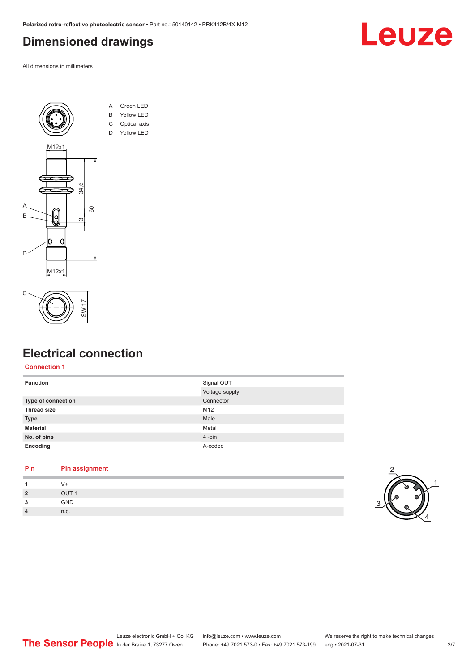#### <span id="page-2-0"></span>**Dimensioned drawings**

All dimensions in millimeters





#### **Electrical connection**

#### **Connection 1**

| <b>Function</b>    | Signal OUT     |
|--------------------|----------------|
|                    | Voltage supply |
| Type of connection | Connector      |
| <b>Thread size</b> | M12            |
| <b>Type</b>        | Male           |
| <b>Material</b>    | Metal          |
| No. of pins        | 4-pin          |
| Encoding           | A-coded        |
|                    |                |

#### **Pin Pin assignment**

| 1              |                  |
|----------------|------------------|
| $\overline{2}$ | OUT <sub>1</sub> |
| 3              | GND              |
| $\overline{4}$ | n.c.             |
|                |                  |



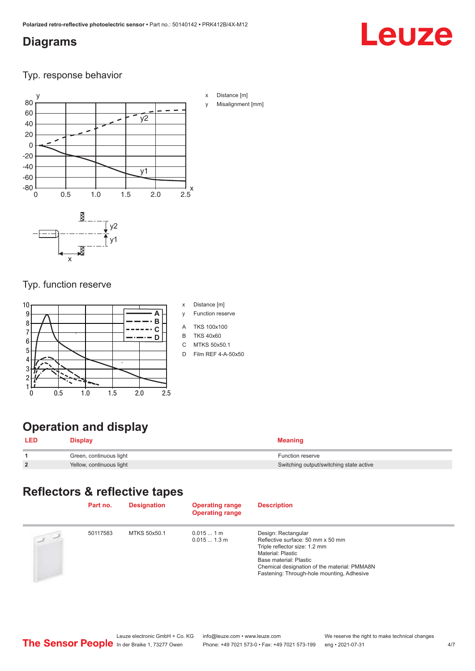#### <span id="page-3-0"></span>**Diagrams**

# Leuze

Typ. response behavior



#### Typ. function reserve



- x Distance [m]
- y Function reserve
- A TKS 100x100
- B TKS 40x60
- C MTKS 50x50.1
- D Film REF 4-A-50x50

### **Operation and display**

| <b>LED</b> | <b>Display</b>           | Meaning                                 |
|------------|--------------------------|-----------------------------------------|
|            | Green, continuous light  | <b>Function reserve</b>                 |
| C          | Yellow, continuous light | Switching output/switching state active |

#### **Reflectors & reflective tapes**

|           | Part no. | <b>Designation</b> | <b>Operating range</b><br><b>Operating range</b> | <b>Description</b>                                                                                                                                                                                                                     |
|-----------|----------|--------------------|--------------------------------------------------|----------------------------------------------------------------------------------------------------------------------------------------------------------------------------------------------------------------------------------------|
| $\supset$ | 50117583 | MTKS 50x50.1       | $0.0151$ m<br>0.0151.3 m                         | Design: Rectangular<br>Reflective surface: 50 mm x 50 mm<br>Triple reflector size: 1.2 mm<br>Material: Plastic<br>Base material: Plastic<br>Chemical designation of the material: PMMA8N<br>Fastening: Through-hole mounting, Adhesive |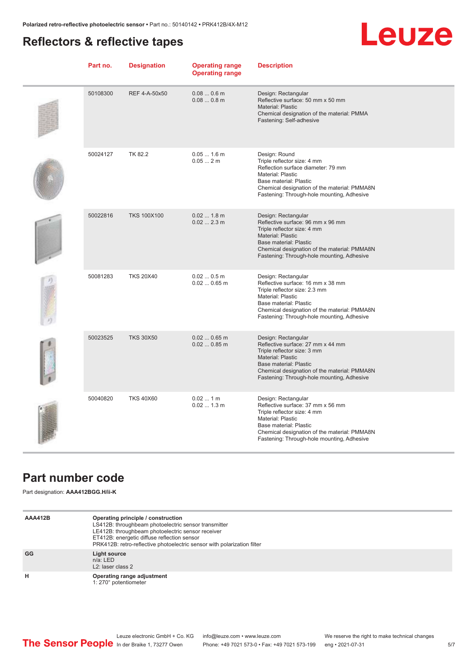#### <span id="page-4-0"></span>**Reflectors & reflective tapes**

## Leuze

| Part no. | <b>Designation</b> | <b>Operating range</b><br><b>Operating range</b> | <b>Description</b>                                                                                                                                                                                                                                 |
|----------|--------------------|--------------------------------------------------|----------------------------------------------------------------------------------------------------------------------------------------------------------------------------------------------------------------------------------------------------|
| 50108300 | REF 4-A-50x50      | $0.080.6$ m<br>$0.080.8$ m                       | Design: Rectangular<br>Reflective surface: 50 mm x 50 mm<br><b>Material: Plastic</b><br>Chemical designation of the material: PMMA<br>Fastening: Self-adhesive                                                                                     |
| 50024127 | TK 82.2            | $0.051.6$ m<br>0.052m                            | Design: Round<br>Triple reflector size: 4 mm<br>Reflection surface diameter: 79 mm<br>Material: Plastic<br>Base material: Plastic<br>Chemical designation of the material: PMMA8N<br>Fastening: Through-hole mounting, Adhesive                    |
| 50022816 | <b>TKS 100X100</b> | 0.02 1.8 m<br>$0.022.3$ m                        | Design: Rectangular<br>Reflective surface: 96 mm x 96 mm<br>Triple reflector size: 4 mm<br><b>Material: Plastic</b><br>Base material: Plastic<br>Chemical designation of the material: PMMA8N<br>Fastening: Through-hole mounting, Adhesive        |
| 50081283 | <b>TKS 20X40</b>   | 0.020.5m<br>$0.020.65$ m                         | Design: Rectangular<br>Reflective surface: 16 mm x 38 mm<br>Triple reflector size: 2.3 mm<br>Material: Plastic<br>Base material: Plastic<br>Chemical designation of the material: PMMA8N<br>Fastening: Through-hole mounting, Adhesive             |
| 50023525 | <b>TKS 30X50</b>   | $0.020.65$ m<br>$0.020.85$ m                     | Design: Rectangular<br>Reflective surface: 27 mm x 44 mm<br>Triple reflector size: 3 mm<br><b>Material: Plastic</b><br><b>Base material: Plastic</b><br>Chemical designation of the material: PMMA8N<br>Fastening: Through-hole mounting, Adhesive |
| 50040820 | <b>TKS 40X60</b>   | $0.021$ m<br>$0.021.3$ m                         | Design: Rectangular<br>Reflective surface: 37 mm x 56 mm<br>Triple reflector size: 4 mm<br>Material: Plastic<br>Base material: Plastic<br>Chemical designation of the material: PMMA8N<br>Fastening: Through-hole mounting, Adhesive               |

#### **Part number code**

Part designation: **AAA412BGG.H/ii-K**

| AAA412B | Operating principle / construction<br>LS412B: throughbeam photoelectric sensor transmitter<br>LE412B: throughbeam photoelectric sensor receiver<br>ET412B: energetic diffuse reflection sensor<br>PRK412B: retro-reflective photoelectric sensor with polarization filter |
|---------|---------------------------------------------------------------------------------------------------------------------------------------------------------------------------------------------------------------------------------------------------------------------------|
| GG      | Light source<br>$n/a$ : LED<br>L <sub>2</sub> : laser class 2                                                                                                                                                                                                             |
| н       | Operating range adjustment<br>1: 270° potentiometer                                                                                                                                                                                                                       |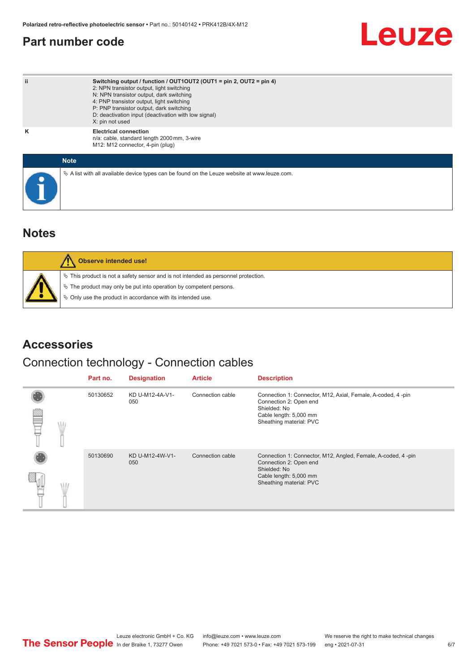#### <span id="page-5-0"></span>**Part number code**

## Leuze

| ii | Switching output / function / OUT1OUT2 (OUT1 = pin 2, OUT2 = pin 4)<br>2: NPN transistor output, light switching<br>N: NPN transistor output, dark switching<br>4: PNP transistor output, light switching<br>P: PNP transistor output, dark switching<br>D: deactivation input (deactivation with low signal)<br>X: pin not used |
|----|----------------------------------------------------------------------------------------------------------------------------------------------------------------------------------------------------------------------------------------------------------------------------------------------------------------------------------|
| Κ  | <b>Electrical connection</b><br>n/a: cable, standard length 2000 mm, 3-wire<br>M12: M12 connector, 4-pin (plug)                                                                                                                                                                                                                  |
|    | <b>Note</b>                                                                                                                                                                                                                                                                                                                      |
|    | $\&$ A list with all available device types can be found on the Leuze website at www.leuze.com.                                                                                                                                                                                                                                  |

#### **Notes**

| Observe intended use!                                                                                                                                                                                                         |
|-------------------------------------------------------------------------------------------------------------------------------------------------------------------------------------------------------------------------------|
| $\%$ This product is not a safety sensor and is not intended as personnel protection.<br>$\&$ The product may only be put into operation by competent persons.<br>₿ Only use the product in accordance with its intended use. |

#### **Accessories**

#### Connection technology - Connection cables

|  | Part no. | <b>Designation</b>     | <b>Article</b>   | <b>Description</b>                                                                                                                                          |
|--|----------|------------------------|------------------|-------------------------------------------------------------------------------------------------------------------------------------------------------------|
|  | 50130652 | KD U-M12-4A-V1-<br>050 | Connection cable | Connection 1: Connector, M12, Axial, Female, A-coded, 4-pin<br>Connection 2: Open end<br>Shielded: No<br>Cable length: 5,000 mm<br>Sheathing material: PVC  |
|  | 50130690 | KD U-M12-4W-V1-<br>050 | Connection cable | Connection 1: Connector, M12, Angled, Female, A-coded, 4-pin<br>Connection 2: Open end<br>Shielded: No<br>Cable length: 5,000 mm<br>Sheathing material: PVC |